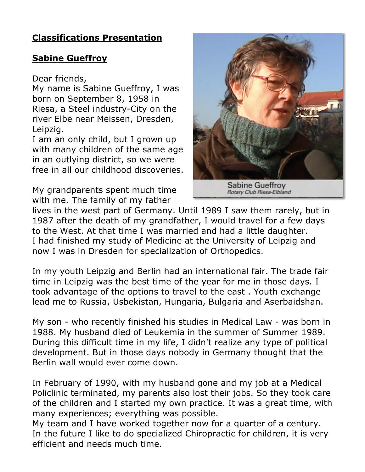## **Classifications Presentation**

## **Sabine Gueffroy**

Dear friends,

My name is Sabine Gueffroy, I was born on September 8, 1958 in Riesa, a Steel industry-City on the river Elbe near Meissen, Dresden, Leipzig.

I am an only child, but I grown up with many children of the same age in an outlying district, so we were free in all our childhood discoveries.

My grandparents spent much time with me. The family of my father



lives in the west part of Germany. Until 1989 I saw them rarely, but in 1987 after the death of my grandfather, I would travel for a few days to the West. At that time I was married and had a little daughter. I had finished my study of Medicine at the University of Leipzig and now I was in Dresden for specialization of Orthopedics.

In my youth Leipzig and Berlin had an international fair. The trade fair time in Leipzig was the best time of the year for me in those days. I took advantage of the options to travel to the east . Youth exchange lead me to Russia, Usbekistan, Hungaria, Bulgaria and Aserbaidshan.

My son - who recently finished his studies in Medical Law - was born in 1988. My husband died of Leukemia in the summer of Summer 1989. During this difficult time in my life, I didn't realize any type of political development. But in those days nobody in Germany thought that the Berlin wall would ever come down.

In February of 1990, with my husband gone and my job at a Medical Policlinic terminated, my parents also lost their jobs. So they took care of the children and I started my own practice. It was a great time, with many experiences; everything was possible.

My team and I have worked together now for a quarter of a century. In the future I like to do specialized Chiropractic for children, it is very efficient and needs much time.